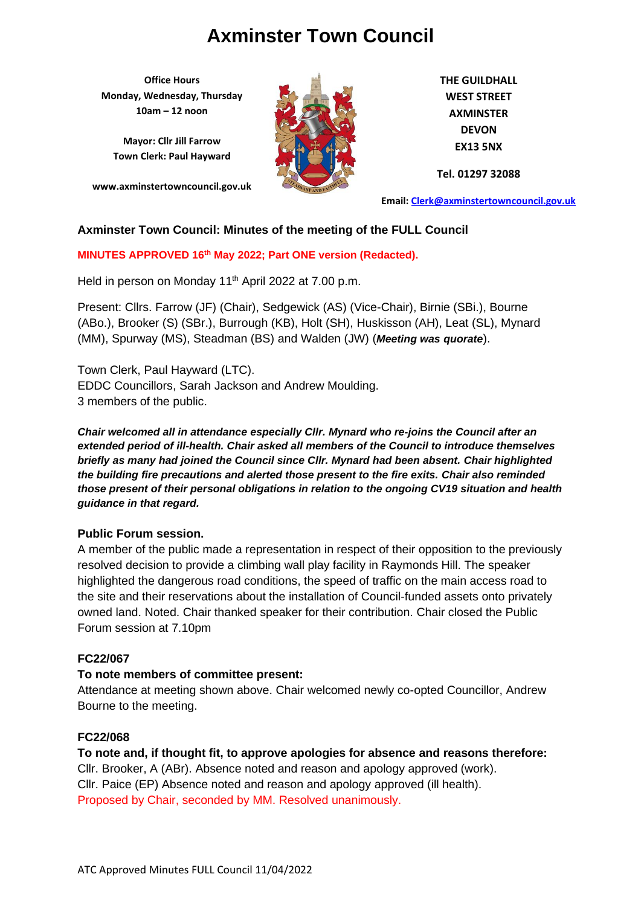**Office Hours Monday, Wednesday, Thursday 10am – 12 noon**

**Mayor: Cllr Jill Farrow Town Clerk: Paul Hayward**

**www.axminstertowncouncil.gov.uk**



**THE GUILDHALL WEST STREET AXMINSTER DEVON EX13 5NX**

**Tel. 01297 32088**

**Email: [Clerk@axminstertowncouncil.gov.uk](file://///axm-svr-1/company/Templates/Clerk@axminstertowncouncil.gov.uk)**

# **Axminster Town Council: Minutes of the meeting of the FULL Council**

**MINUTES APPROVED 16th May 2022; Part ONE version (Redacted).**

Held in person on Monday 11<sup>th</sup> April 2022 at 7.00 p.m.

Present: Cllrs. Farrow (JF) (Chair), Sedgewick (AS) (Vice-Chair), Birnie (SBi.), Bourne (ABo.), Brooker (S) (SBr.), Burrough (KB), Holt (SH), Huskisson (AH), Leat (SL), Mynard (MM), Spurway (MS), Steadman (BS) and Walden (JW) (*Meeting was quorate*).

Town Clerk, Paul Hayward (LTC). EDDC Councillors, Sarah Jackson and Andrew Moulding. 3 members of the public.

*Chair welcomed all in attendance especially Cllr. Mynard who re-joins the Council after an extended period of ill-health. Chair asked all members of the Council to introduce themselves briefly as many had joined the Council since Cllr. Mynard had been absent. Chair highlighted the building fire precautions and alerted those present to the fire exits. Chair also reminded those present of their personal obligations in relation to the ongoing CV19 situation and health guidance in that regard.*

#### **Public Forum session.**

A member of the public made a representation in respect of their opposition to the previously resolved decision to provide a climbing wall play facility in Raymonds Hill. The speaker highlighted the dangerous road conditions, the speed of traffic on the main access road to the site and their reservations about the installation of Council-funded assets onto privately owned land. Noted. Chair thanked speaker for their contribution. Chair closed the Public Forum session at 7.10pm

#### **FC22/067**

#### **To note members of committee present:**

Attendance at meeting shown above. Chair welcomed newly co-opted Councillor, Andrew Bourne to the meeting.

# **FC22/068**

**To note and, if thought fit, to approve apologies for absence and reasons therefore:** Cllr. Brooker, A (ABr). Absence noted and reason and apology approved (work). Cllr. Paice (EP) Absence noted and reason and apology approved (ill health). Proposed by Chair, seconded by MM. Resolved unanimously.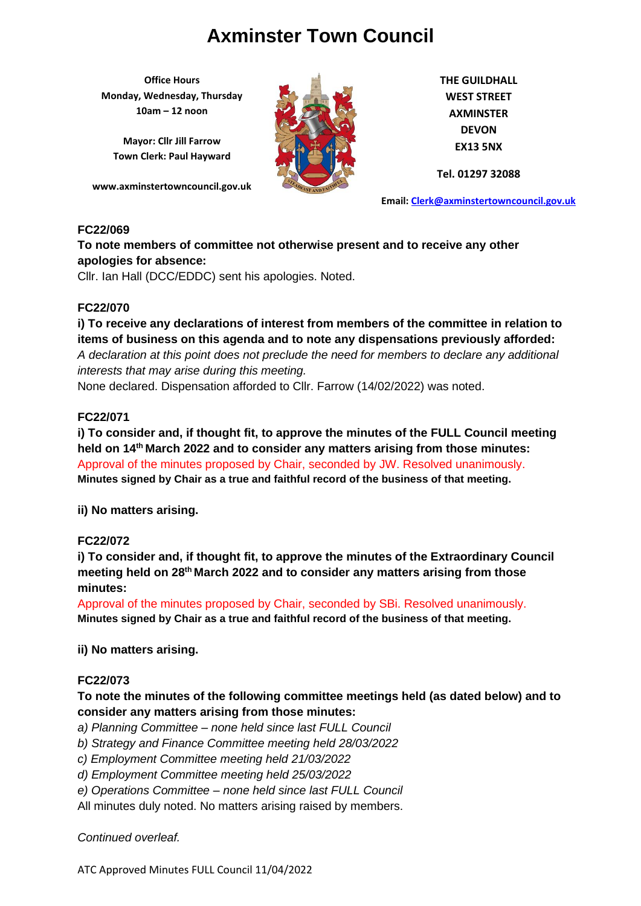**Office Hours Monday, Wednesday, Thursday 10am – 12 noon**

**Mayor: Cllr Jill Farrow Town Clerk: Paul Hayward**

**www.axminstertowncouncil.gov.uk**



**THE GUILDHALL WEST STREET AXMINSTER DEVON EX13 5NX**

**Tel. 01297 32088**

**Email: [Clerk@axminstertowncouncil.gov.uk](file://///axm-svr-1/company/Templates/Clerk@axminstertowncouncil.gov.uk)**

#### **FC22/069**

**To note members of committee not otherwise present and to receive any other apologies for absence:**

Cllr. Ian Hall (DCC/EDDC) sent his apologies. Noted.

# **FC22/070**

**i) To receive any declarations of interest from members of the committee in relation to items of business on this agenda and to note any dispensations previously afforded:**  *A declaration at this point does not preclude the need for members to declare any additional interests that may arise during this meeting.*

None declared. Dispensation afforded to Cllr. Farrow (14/02/2022) was noted.

# **FC22/071**

**i) To consider and, if thought fit, to approve the minutes of the FULL Council meeting held on 14 th March 2022 and to consider any matters arising from those minutes:** Approval of the minutes proposed by Chair, seconded by JW. Resolved unanimously. **Minutes signed by Chair as a true and faithful record of the business of that meeting.**

**ii) No matters arising.**

# **FC22/072**

**i) To consider and, if thought fit, to approve the minutes of the Extraordinary Council meeting held on 28th March 2022 and to consider any matters arising from those minutes:**

Approval of the minutes proposed by Chair, seconded by SBi. Resolved unanimously. **Minutes signed by Chair as a true and faithful record of the business of that meeting.**

# **ii) No matters arising.**

# **FC22/073**

**To note the minutes of the following committee meetings held (as dated below) and to consider any matters arising from those minutes:**

*a) Planning Committee – none held since last FULL Council*

- *b) Strategy and Finance Committee meeting held 28/03/2022*
- *c) Employment Committee meeting held 21/03/2022*
- *d) Employment Committee meeting held 25/03/2022*
- *e) Operations Committee – none held since last FULL Council*
- All minutes duly noted. No matters arising raised by members.

*Continued overleaf.*

ATC Approved Minutes FULL Council 11/04/2022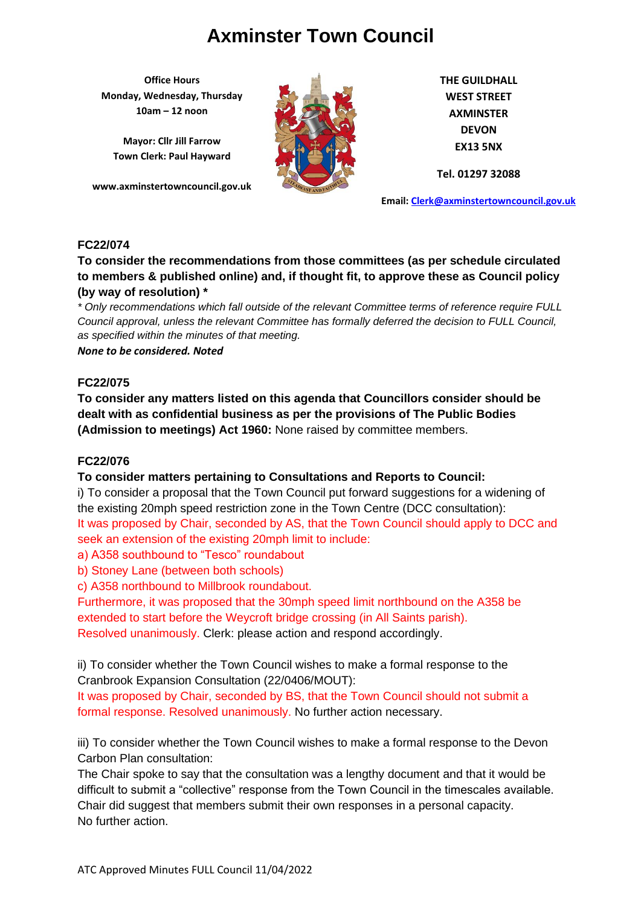**Office Hours Monday, Wednesday, Thursday 10am – 12 noon**

**Mayor: Cllr Jill Farrow Town Clerk: Paul Hayward**

**www.axminstertowncouncil.gov.uk**



**THE GUILDHALL WEST STREET AXMINSTER DEVON EX13 5NX**

**Tel. 01297 32088**

**Email: [Clerk@axminstertowncouncil.gov.uk](file://///axm-svr-1/company/Templates/Clerk@axminstertowncouncil.gov.uk)**

# **FC22/074**

**To consider the recommendations from those committees (as per schedule circulated to members & published online) and, if thought fit, to approve these as Council policy (by way of resolution) \***

**TEL: 01297 32088** *\* Only recommendations which fall outside of the relevant Committee terms of reference require FULL Council approval, unless the relevant Committee has formally deferred the decision to FULL Council, as specified within the minutes of that meeting.*

*None to be considered. Noted*

# **FC22/075**

**To consider any matters listed on this agenda that Councillors consider should be dealt with as confidential business as per the provisions of The Public Bodies (Admission to meetings) Act 1960:** None raised by committee members.

# **FC22/076**

# **To consider matters pertaining to Consultations and Reports to Council:**

i) To consider a proposal that the Town Council put forward suggestions for a widening of the existing 20mph speed restriction zone in the Town Centre (DCC consultation): It was proposed by Chair, seconded by AS, that the Town Council should apply to DCC and seek an extension of the existing 20mph limit to include:

a) A358 southbound to "Tesco" roundabout

b) Stoney Lane (between both schools)

c) A358 northbound to Millbrook roundabout.

Furthermore, it was proposed that the 30mph speed limit northbound on the A358 be extended to start before the Weycroft bridge crossing (in All Saints parish). Resolved unanimously. Clerk: please action and respond accordingly.

ii) To consider whether the Town Council wishes to make a formal response to the Cranbrook Expansion Consultation (22/0406/MOUT):

It was proposed by Chair, seconded by BS, that the Town Council should not submit a formal response. Resolved unanimously. No further action necessary.

iii) To consider whether the Town Council wishes to make a formal response to the Devon Carbon Plan consultation:

The Chair spoke to say that the consultation was a lengthy document and that it would be difficult to submit a "collective" response from the Town Council in the timescales available. Chair did suggest that members submit their own responses in a personal capacity. No further action.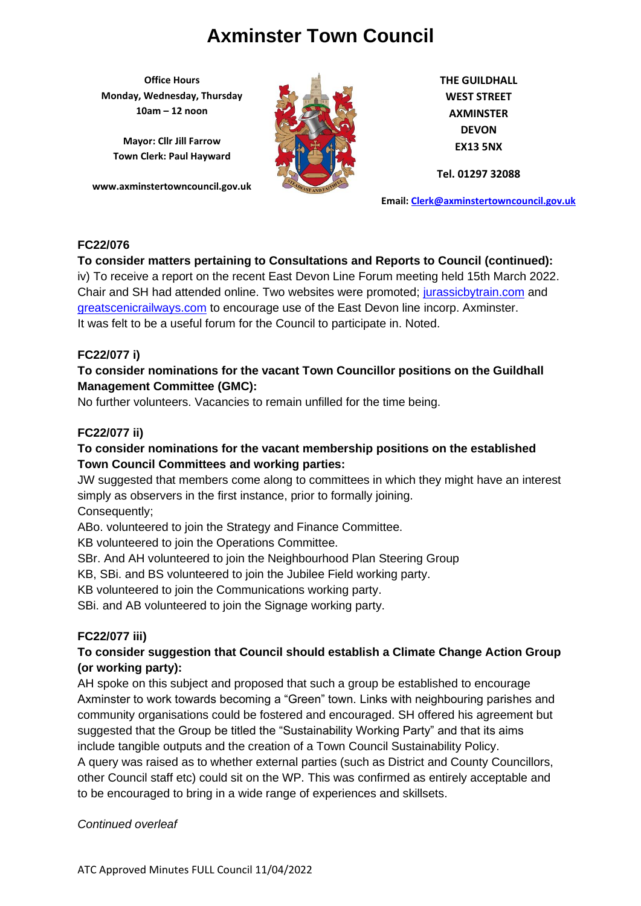**Office Hours Monday, Wednesday, Thursday 10am – 12 noon**

**Mayor: Cllr Jill Farrow Town Clerk: Paul Hayward**

**www.axminstertowncouncil.gov.uk**



**THE GUILDHALL WEST STREET AXMINSTER DEVON EX13 5NX**

**Tel. 01297 32088**

**Email: [Clerk@axminstertowncouncil.gov.uk](file://///axm-svr-1/company/Templates/Clerk@axminstertowncouncil.gov.uk)**

# **FC22/076**

# **To consider matters pertaining to Consultations and Reports to Council (continued):**

Chair and SH had attended online. Two websites were promoted; [jurassicbytrain.com](file://///axm-svr-1/company/2.%20Minutes/1.%202022/April%202022/FULL%2011.4.2022/jurassicbytrain.com) and iv) To receive a report on the recent East Devon Line Forum meeting held 15th March 2022. [greatscenicrailways.com](file://///axm-svr-1/company/2.%20Minutes/1.%202022/April%202022/FULL%2011.4.2022/greatscenicrailways.com) to encourage use of the East Devon line incorp. Axminster. It was felt to be a useful forum for the Council to participate in. Noted.

# **FC22/077 i)**

# **To consider nominations for the vacant Town Councillor positions on the Guildhall Management Committee (GMC):**

No further volunteers. Vacancies to remain unfilled for the time being.

# **FC22/077 ii)**

# **To consider nominations for the vacant membership positions on the established Town Council Committees and working parties:**

JW suggested that members come along to committees in which they might have an interest simply as observers in the first instance, prior to formally joining. Consequently;

ABo. volunteered to join the Strategy and Finance Committee.

KB volunteered to join the Operations Committee.

SBr. And AH volunteered to join the Neighbourhood Plan Steering Group

KB, SBi. and BS volunteered to join the Jubilee Field working party.

KB volunteered to join the Communications working party.

SBi. and AB volunteered to join the Signage working party.

# **FC22/077 iii)**

# **To consider suggestion that Council should establish a Climate Change Action Group (or working party):**

AH spoke on this subject and proposed that such a group be established to encourage Axminster to work towards becoming a "Green" town. Links with neighbouring parishes and community organisations could be fostered and encouraged. SH offered his agreement but suggested that the Group be titled the "Sustainability Working Party" and that its aims include tangible outputs and the creation of a Town Council Sustainability Policy.

A query was raised as to whether external parties (such as District and County Councillors, other Council staff etc) could sit on the WP. This was confirmed as entirely acceptable and to be encouraged to bring in a wide range of experiences and skillsets.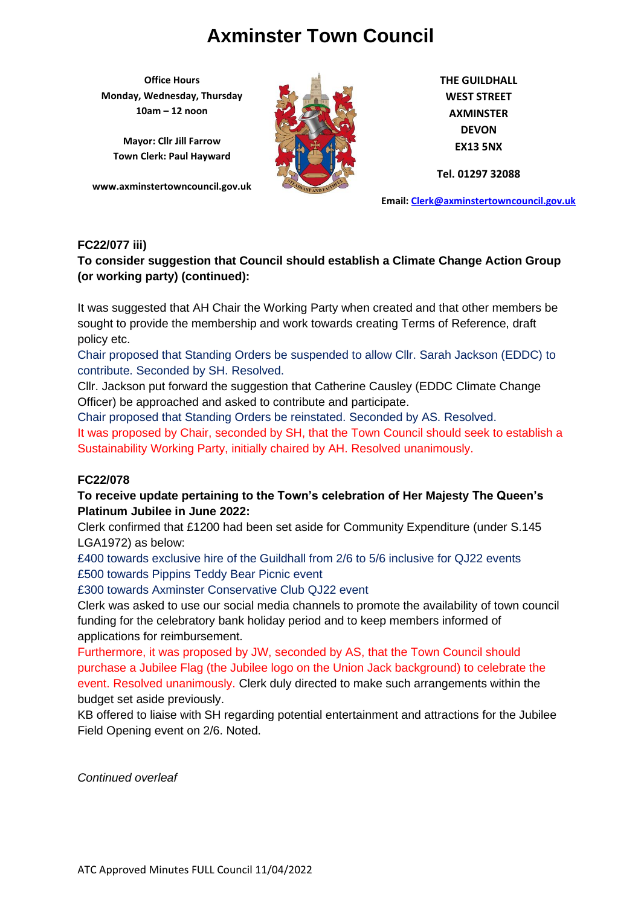**Office Hours Monday, Wednesday, Thursday 10am – 12 noon**

**Mayor: Cllr Jill Farrow Town Clerk: Paul Hayward**

**www.axminstertowncouncil.gov.uk**



**THE GUILDHALL WEST STREET AXMINSTER DEVON EX13 5NX**

**Tel. 01297 32088**

**Email: [Clerk@axminstertowncouncil.gov.uk](file://///axm-svr-1/company/Templates/Clerk@axminstertowncouncil.gov.uk)**

# **FC22/077 iii)**

# **To consider suggestion that Council should establish a Climate Change Action Group (or working party) (continued):**

**TEL:** 01297 32088 It was suggested that AH Chair the Working Party when created and that other members be sought to provide the membership and work towards creating Terms of Reference, draft policy etc.

Chair proposed that Standing Orders be suspended to allow Cllr. Sarah Jackson (EDDC) to contribute. Seconded by SH. Resolved.

Cllr. Jackson put forward the suggestion that Catherine Causley (EDDC Climate Change Officer) be approached and asked to contribute and participate.

Chair proposed that Standing Orders be reinstated. Seconded by AS. Resolved. It was proposed by Chair, seconded by SH, that the Town Council should seek to establish a Sustainability Working Party, initially chaired by AH. Resolved unanimously.

# **FC22/078**

# **To receive update pertaining to the Town's celebration of Her Majesty The Queen's Platinum Jubilee in June 2022:**

Clerk confirmed that £1200 had been set aside for Community Expenditure (under S.145 LGA1972) as below:

£400 towards exclusive hire of the Guildhall from 2/6 to 5/6 inclusive for QJ22 events £500 towards Pippins Teddy Bear Picnic event

£300 towards Axminster Conservative Club QJ22 event

Clerk was asked to use our social media channels to promote the availability of town council funding for the celebratory bank holiday period and to keep members informed of applications for reimbursement.

Furthermore, it was proposed by JW, seconded by AS, that the Town Council should purchase a Jubilee Flag (the Jubilee logo on the Union Jack background) to celebrate the event. Resolved unanimously. Clerk duly directed to make such arrangements within the budget set aside previously.

KB offered to liaise with SH regarding potential entertainment and attractions for the Jubilee Field Opening event on 2/6. Noted.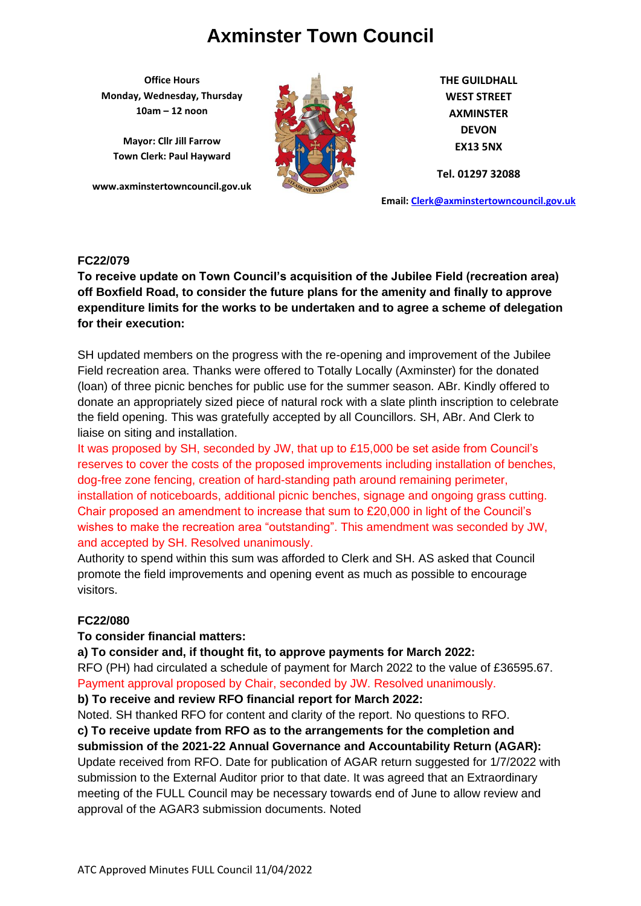**Office Hours Monday, Wednesday, Thursday 10am – 12 noon**

**Mayor: Cllr Jill Farrow Town Clerk: Paul Hayward**

**www.axminstertowncouncil.gov.uk**



**THE GUILDHALL WEST STREET AXMINSTER DEVON EX13 5NX**

**Tel. 01297 32088**

**Email: [Clerk@axminstertowncouncil.gov.uk](file://///axm-svr-1/company/Templates/Clerk@axminstertowncouncil.gov.uk)**

#### **FC22/079**

off Boxfield Road, to consider the future plans for the amenity and finally to approve **by the constant of the state of the constant of the constant of the constant of the constant of the constant of the constant of the co To receive update on Town Council's acquisition of the Jubilee Field (recreation area) expenditure limits for the works to be undertaken and to agree a scheme of delegation for their execution:**

SH updated members on the progress with the re-opening and improvement of the Jubilee Field recreation area. Thanks were offered to Totally Locally (Axminster) for the donated (loan) of three picnic benches for public use for the summer season. ABr. Kindly offered to donate an appropriately sized piece of natural rock with a slate plinth inscription to celebrate the field opening. This was gratefully accepted by all Councillors. SH, ABr. And Clerk to liaise on siting and installation.

It was proposed by SH, seconded by JW, that up to £15,000 be set aside from Council's reserves to cover the costs of the proposed improvements including installation of benches, dog-free zone fencing, creation of hard-standing path around remaining perimeter, installation of noticeboards, additional picnic benches, signage and ongoing grass cutting. Chair proposed an amendment to increase that sum to £20,000 in light of the Council's wishes to make the recreation area "outstanding". This amendment was seconded by JW, and accepted by SH. Resolved unanimously.

Authority to spend within this sum was afforded to Clerk and SH. AS asked that Council promote the field improvements and opening event as much as possible to encourage visitors.

# **FC22/080**

#### **To consider financial matters:**

**a) To consider and, if thought fit, to approve payments for March 2022:**

RFO (PH) had circulated a schedule of payment for March 2022 to the value of £36595.67. Payment approval proposed by Chair, seconded by JW. Resolved unanimously.

**b) To receive and review RFO financial report for March 2022:**

Noted. SH thanked RFO for content and clarity of the report. No questions to RFO. **c) To receive update from RFO as to the arrangements for the completion and submission of the 2021-22 Annual Governance and Accountability Return (AGAR):** Update received from RFO. Date for publication of AGAR return suggested for 1/7/2022 with submission to the External Auditor prior to that date. It was agreed that an Extraordinary meeting of the FULL Council may be necessary towards end of June to allow review and approval of the AGAR3 submission documents. Noted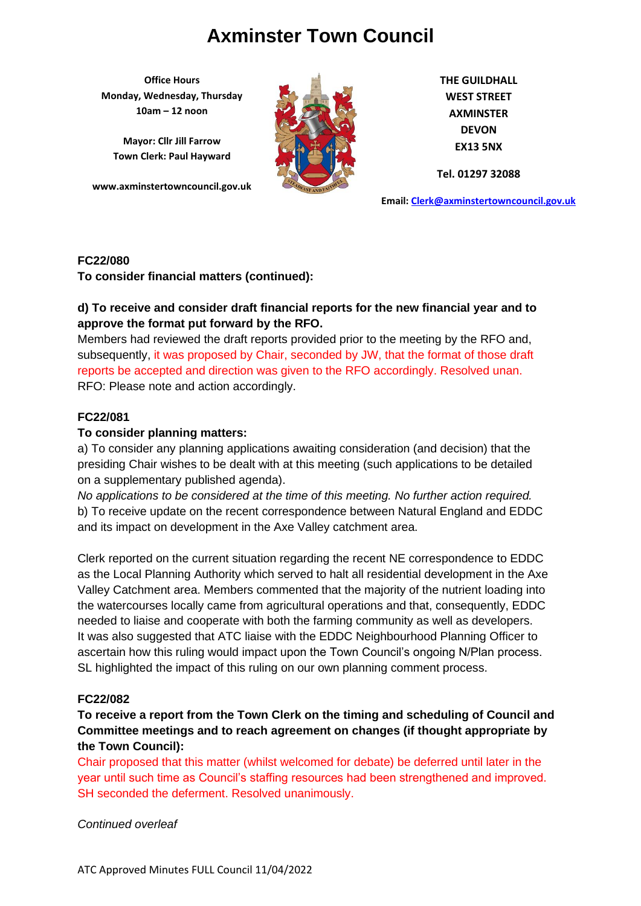**Office Hours Monday, Wednesday, Thursday 10am – 12 noon**

**Mayor: Cllr Jill Farrow Town Clerk: Paul Hayward**

**www.axminstertowncouncil.gov.uk**



**THE GUILDHALL WEST STREET AXMINSTER DEVON EX13 5NX**

**Tel. 01297 32088**

**Email: [Clerk@axminstertowncouncil.gov.uk](file://///axm-svr-1/company/Templates/Clerk@axminstertowncouncil.gov.uk)**

#### **FC22/080**

**To consider financial matters (continued):**

#### **TEL: 01297 32088 d) To receive and consider draft financial reports for the new financial year and to approve the format put forward by the RFO.**

Members had reviewed the draft reports provided prior to the meeting by the RFO and, subsequently, it was proposed by Chair, seconded by JW, that the format of those draft reports be accepted and direction was given to the RFO accordingly. Resolved unan. RFO: Please note and action accordingly.

# **FC22/081**

# **To consider planning matters:**

a) To consider any planning applications awaiting consideration (and decision) that the presiding Chair wishes to be dealt with at this meeting (such applications to be detailed on a supplementary published agenda).

*No applications to be considered at the time of this meeting. No further action required.* b) To receive update on the recent correspondence between Natural England and EDDC and its impact on development in the Axe Valley catchment area.

Clerk reported on the current situation regarding the recent NE correspondence to EDDC as the Local Planning Authority which served to halt all residential development in the Axe Valley Catchment area. Members commented that the majority of the nutrient loading into the watercourses locally came from agricultural operations and that, consequently, EDDC needed to liaise and cooperate with both the farming community as well as developers. It was also suggested that ATC liaise with the EDDC Neighbourhood Planning Officer to ascertain how this ruling would impact upon the Town Council's ongoing N/Plan process. SL highlighted the impact of this ruling on our own planning comment process.

# **FC22/082**

# **To receive a report from the Town Clerk on the timing and scheduling of Council and Committee meetings and to reach agreement on changes (if thought appropriate by the Town Council):**

Chair proposed that this matter (whilst welcomed for debate) be deferred until later in the year until such time as Council's staffing resources had been strengthened and improved. SH seconded the deferment. Resolved unanimously.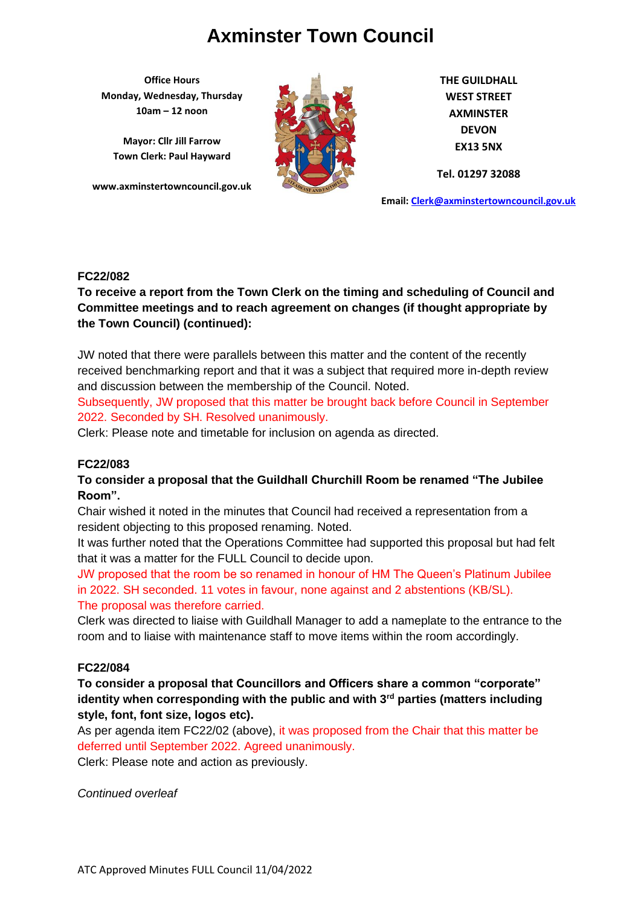**Office Hours Monday, Wednesday, Thursday 10am – 12 noon**

**Mayor: Cllr Jill Farrow Town Clerk: Paul Hayward**

**www.axminstertowncouncil.gov.uk**



**THE GUILDHALL WEST STREET AXMINSTER DEVON EX13 5NX**

**Tel. 01297 32088**

**Email: [Clerk@axminstertowncouncil.gov.uk](file://///axm-svr-1/company/Templates/Clerk@axminstertowncouncil.gov.uk)**

# **FC22/082**

To receive a report from the Town Clerk on the timing and scheduling of Council and **Council** and **Committee meetings and to reach agreement on changes (if thought appropriate by the Town Council) (continued):**

JW noted that there were parallels between this matter and the content of the recently received benchmarking report and that it was a subject that required more in-depth review and discussion between the membership of the Council. Noted.

Subsequently, JW proposed that this matter be brought back before Council in September 2022. Seconded by SH. Resolved unanimously.

Clerk: Please note and timetable for inclusion on agenda as directed.

# **FC22/083**

**To consider a proposal that the Guildhall Churchill Room be renamed "The Jubilee Room".**

Chair wished it noted in the minutes that Council had received a representation from a resident objecting to this proposed renaming. Noted.

It was further noted that the Operations Committee had supported this proposal but had felt that it was a matter for the FULL Council to decide upon.

JW proposed that the room be so renamed in honour of HM The Queen's Platinum Jubilee in 2022. SH seconded. 11 votes in favour, none against and 2 abstentions (KB/SL). The proposal was therefore carried.

Clerk was directed to liaise with Guildhall Manager to add a nameplate to the entrance to the room and to liaise with maintenance staff to move items within the room accordingly.

# **FC22/084**

**To consider a proposal that Councillors and Officers share a common "corporate" identity when corresponding with the public and with 3rd parties (matters including style, font, font size, logos etc).**

As per agenda item FC22/02 (above), it was proposed from the Chair that this matter be deferred until September 2022. Agreed unanimously.

Clerk: Please note and action as previously.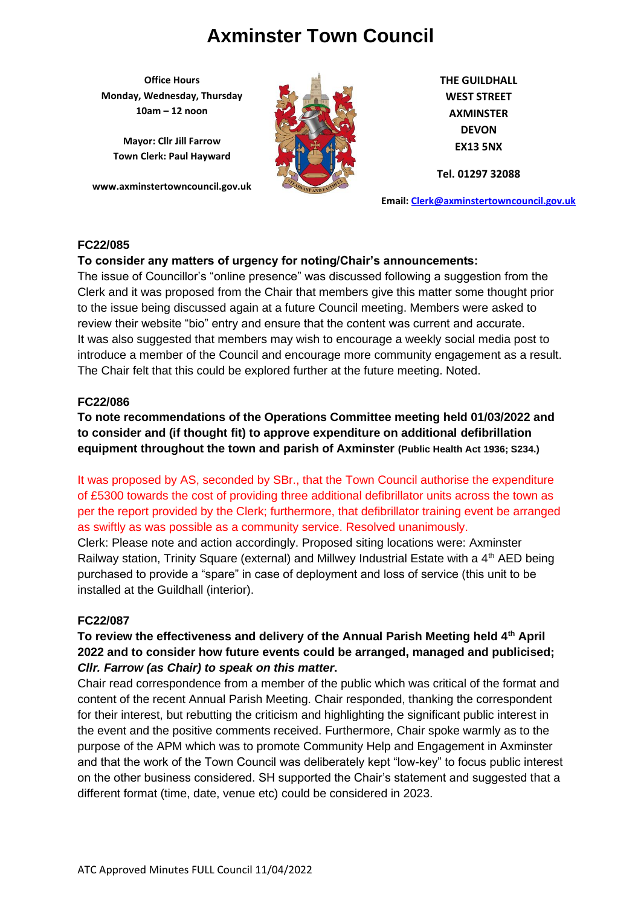**Office Hours Monday, Wednesday, Thursday 10am – 12 noon**

**Mayor: Cllr Jill Farrow Town Clerk: Paul Hayward**

**www.axminstertowncouncil.gov.uk**



**THE GUILDHALL WEST STREET AXMINSTER DEVON EX13 5NX**

**Tel. 01297 32088**

**Email: [Clerk@axminstertowncouncil.gov.uk](file://///axm-svr-1/company/Templates/Clerk@axminstertowncouncil.gov.uk)**

# **FC22/085**

# **To consider any matters of urgency for noting/Chair's announcements:**

Clerk and it was proposed from the Chair that members give this matter some thought prior The issue of Councillor's "online presence" was discussed following a suggestion from the to the issue being discussed again at a future Council meeting. Members were asked to review their website "bio" entry and ensure that the content was current and accurate. It was also suggested that members may wish to encourage a weekly social media post to introduce a member of the Council and encourage more community engagement as a result. The Chair felt that this could be explored further at the future meeting. Noted.

# **FC22/086**

**To note recommendations of the Operations Committee meeting held 01/03/2022 and to consider and (if thought fit) to approve expenditure on additional defibrillation equipment throughout the town and parish of Axminster (Public Health Act 1936; S234.)**

It was proposed by AS, seconded by SBr., that the Town Council authorise the expenditure of £5300 towards the cost of providing three additional defibrillator units across the town as per the report provided by the Clerk; furthermore, that defibrillator training event be arranged as swiftly as was possible as a community service. Resolved unanimously.

Clerk: Please note and action accordingly. Proposed siting locations were: Axminster Railway station, Trinity Square (external) and Millwey Industrial Estate with a 4<sup>th</sup> AED being purchased to provide a "spare" in case of deployment and loss of service (this unit to be installed at the Guildhall (interior).

# **FC22/087**

# **To review the effectiveness and delivery of the Annual Parish Meeting held 4th April 2022 and to consider how future events could be arranged, managed and publicised;**  *Cllr. Farrow (as Chair) to speak on this matter***.**

Chair read correspondence from a member of the public which was critical of the format and content of the recent Annual Parish Meeting. Chair responded, thanking the correspondent for their interest, but rebutting the criticism and highlighting the significant public interest in the event and the positive comments received. Furthermore, Chair spoke warmly as to the purpose of the APM which was to promote Community Help and Engagement in Axminster and that the work of the Town Council was deliberately kept "low-key" to focus public interest on the other business considered. SH supported the Chair's statement and suggested that a different format (time, date, venue etc) could be considered in 2023.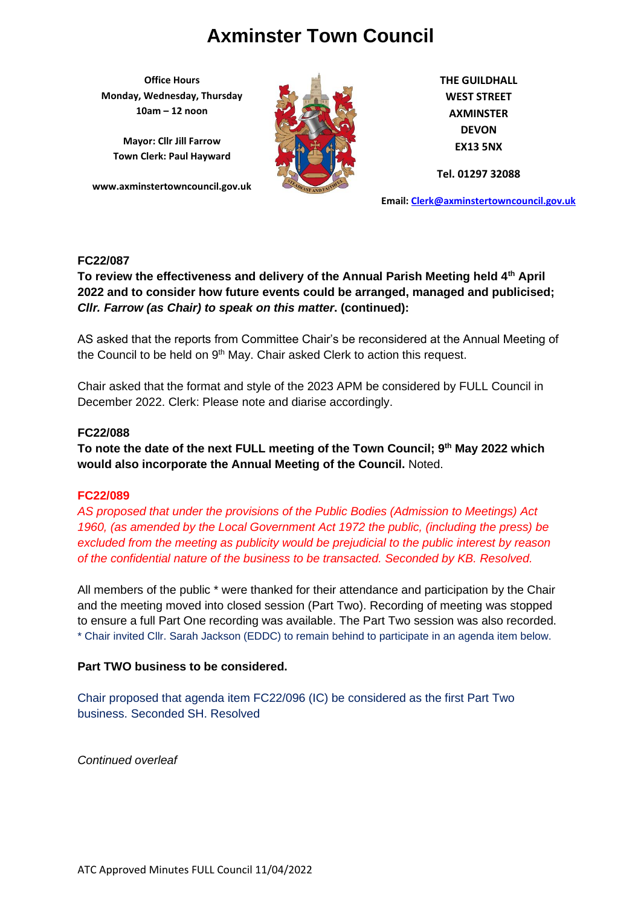**Office Hours Monday, Wednesday, Thursday 10am – 12 noon**

**Mayor: Cllr Jill Farrow Town Clerk: Paul Hayward**

**www.axminstertowncouncil.gov.uk**



**THE GUILDHALL WEST STREET AXMINSTER DEVON EX13 5NX**

**Tel. 01297 32088**

**Email: [Clerk@axminstertowncouncil.gov.uk](file://///axm-svr-1/company/Templates/Clerk@axminstertowncouncil.gov.uk)**

# **FC22/087**

2022 and to consider how future events could be arranged, managed and publicised;<br>
and the consider how future and in the constanting to the constant of the constant of the constant of the const **To review the effectiveness and delivery of the Annual Parish Meeting held 4th April**  *Cllr. Farrow (as Chair) to speak on this matter***. (continued):**

AS asked that the reports from Committee Chair's be reconsidered at the Annual Meeting of the Council to be held on  $9<sup>th</sup>$  May. Chair asked Clerk to action this request.

Chair asked that the format and style of the 2023 APM be considered by FULL Council in December 2022. Clerk: Please note and diarise accordingly.

# **FC22/088**

**To note the date of the next FULL meeting of the Town Council; 9 th May 2022 which would also incorporate the Annual Meeting of the Council.** Noted.

# **FC22/089**

*AS proposed that under the provisions of the Public Bodies (Admission to Meetings) Act 1960, (as amended by the Local Government Act 1972 the public, (including the press) be excluded from the meeting as publicity would be prejudicial to the public interest by reason of the confidential nature of the business to be transacted. Seconded by KB. Resolved.*

All members of the public \* were thanked for their attendance and participation by the Chair and the meeting moved into closed session (Part Two). Recording of meeting was stopped to ensure a full Part One recording was available. The Part Two session was also recorded. \* Chair invited Cllr. Sarah Jackson (EDDC) to remain behind to participate in an agenda item below.

# **Part TWO business to be considered.**

Chair proposed that agenda item FC22/096 (IC) be considered as the first Part Two business. Seconded SH. Resolved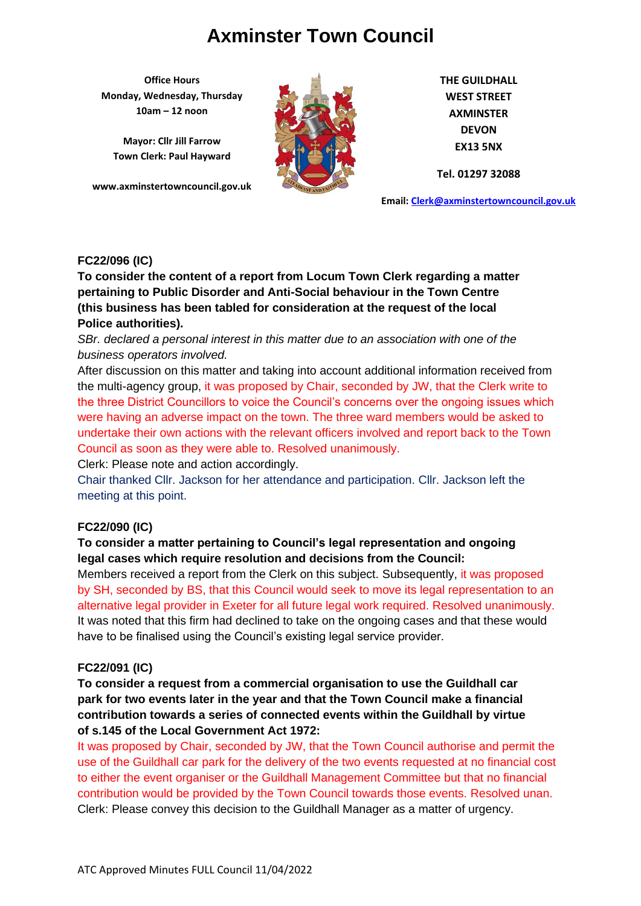**Office Hours Monday, Wednesday, Thursday 10am – 12 noon**

**Mayor: Cllr Jill Farrow Town Clerk: Paul Hayward**

**www.axminstertowncouncil.gov.uk**



**THE GUILDHALL WEST STREET AXMINSTER DEVON EX13 5NX**

**Tel. 01297 32088**

**Email: [Clerk@axminstertowncouncil.gov.uk](file://///axm-svr-1/company/Templates/Clerk@axminstertowncouncil.gov.uk)**

# **FC22/096 (IC)**

pertaining to Public Disorder and Anti-Social behaviour in the Town Centre<br>Anti-Julie behavior of the *Literature of the Colle* and Collection of the **Literature of the United States To consider the content of a report from Locum Town Clerk regarding a matter (this business has been tabled for consideration at the request of the local Police authorities).**

*SBr. declared a personal interest in this matter due to an association with one of the business operators involved.*

After discussion on this matter and taking into account additional information received from the multi-agency group, it was proposed by Chair, seconded by JW, that the Clerk write to the three District Councillors to voice the Council's concerns over the ongoing issues which were having an adverse impact on the town. The three ward members would be asked to undertake their own actions with the relevant officers involved and report back to the Town Council as soon as they were able to. Resolved unanimously.

Clerk: Please note and action accordingly.

Chair thanked Cllr. Jackson for her attendance and participation. Cllr. Jackson left the meeting at this point.

# **FC22/090 (IC)**

# **To consider a matter pertaining to Council's legal representation and ongoing legal cases which require resolution and decisions from the Council:**

Members received a report from the Clerk on this subject. Subsequently, it was proposed by SH, seconded by BS, that this Council would seek to move its legal representation to an alternative legal provider in Exeter for all future legal work required. Resolved unanimously. It was noted that this firm had declined to take on the ongoing cases and that these would have to be finalised using the Council's existing legal service provider.

# **FC22/091 (IC)**

**To consider a request from a commercial organisation to use the Guildhall car park for two events later in the year and that the Town Council make a financial contribution towards a series of connected events within the Guildhall by virtue of s.145 of the Local Government Act 1972:**

It was proposed by Chair, seconded by JW, that the Town Council authorise and permit the use of the Guildhall car park for the delivery of the two events requested at no financial cost to either the event organiser or the Guildhall Management Committee but that no financial contribution would be provided by the Town Council towards those events. Resolved unan. Clerk: Please convey this decision to the Guildhall Manager as a matter of urgency.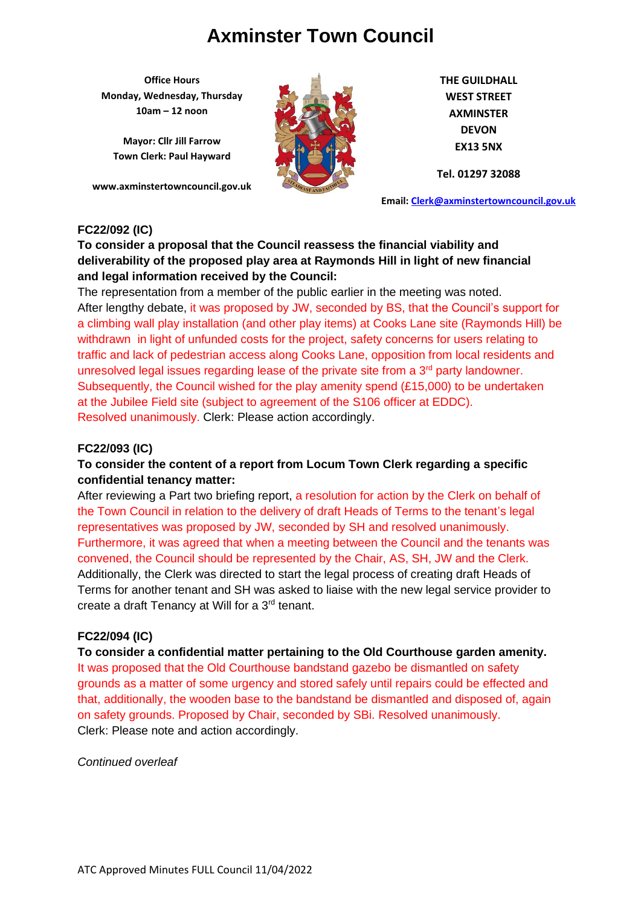**Office Hours Monday, Wednesday, Thursday 10am – 12 noon**

**Mayor: Cllr Jill Farrow Town Clerk: Paul Hayward**

**www.axminstertowncouncil.gov.uk**



**THE GUILDHALL WEST STREET AXMINSTER DEVON EX13 5NX**

**Tel. 01297 32088**

**Email: [Clerk@axminstertowncouncil.gov.uk](file://///axm-svr-1/company/Templates/Clerk@axminstertowncouncil.gov.uk)**

# **FC22/092 (IC)**

**To consider a proposal that the Council reassess the financial viability and deliverability of the proposed play area at Raymonds Hill in light of new financial and legal information received by the Council:**

**TEL:** 02097 10100. The representation from a member of the public earlier in the meeting was noted. After lengthy debate, it was proposed by JW, seconded by BS, that the Council's support for a climbing wall play installation (and other play items) at Cooks Lane site (Raymonds Hill) be withdrawn in light of unfunded costs for the project, safety concerns for users relating to traffic and lack of pedestrian access along Cooks Lane, opposition from local residents and unresolved legal issues regarding lease of the private site from a  $3<sup>rd</sup>$  party landowner. Subsequently, the Council wished for the play amenity spend (£15,000) to be undertaken at the Jubilee Field site (subject to agreement of the S106 officer at EDDC). Resolved unanimously. Clerk: Please action accordingly.

# **FC22/093 (IC)**

# **To consider the content of a report from Locum Town Clerk regarding a specific confidential tenancy matter:**

After reviewing a Part two briefing report, a resolution for action by the Clerk on behalf of the Town Council in relation to the delivery of draft Heads of Terms to the tenant's legal representatives was proposed by JW, seconded by SH and resolved unanimously. Furthermore, it was agreed that when a meeting between the Council and the tenants was convened, the Council should be represented by the Chair, AS, SH, JW and the Clerk. Additionally, the Clerk was directed to start the legal process of creating draft Heads of Terms for another tenant and SH was asked to liaise with the new legal service provider to create a draft Tenancy at Will for a 3<sup>rd</sup> tenant.

# **FC22/094 (IC)**

**To consider a confidential matter pertaining to the Old Courthouse garden amenity.** It was proposed that the Old Courthouse bandstand gazebo be dismantled on safety grounds as a matter of some urgency and stored safely until repairs could be effected and that, additionally, the wooden base to the bandstand be dismantled and disposed of, again on safety grounds. Proposed by Chair, seconded by SBi. Resolved unanimously. Clerk: Please note and action accordingly.